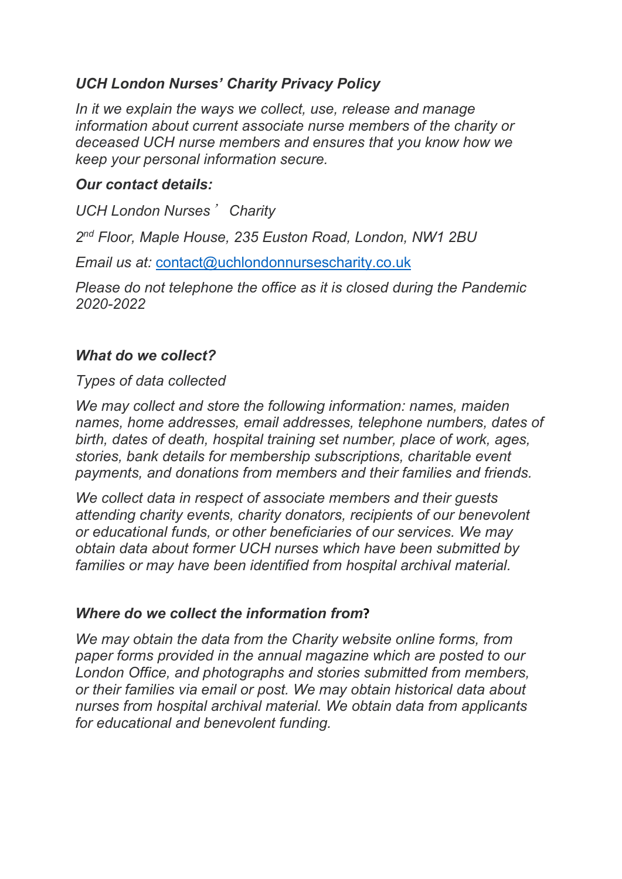# *UCH London Nurses' Charity Privacy Policy*

*In it we explain the ways we collect, use, release and manage information about current associate nurse members of the charity or deceased UCH nurse members and ensures that you know how we keep your personal information secure.*

## *Our contact details:*

*UCH London Nurses*' *Charity*

*2nd Floor, Maple House, 235 Euston Road, London, NW1 2BU*

*Email us at:* [contact@uchlondonnursescharity.co.uk](mailto:contact@uchlondonnursescharity.co.uk)

*Please do not telephone the office as it is closed during the Pandemic 2020-2022*

#### *What do we collect?*

#### *Types of data collected*

*We may collect and store the following information: names, maiden names, home addresses, email addresses, telephone numbers, dates of birth, dates of death, hospital training set number, place of work, ages, stories, bank details for membership subscriptions, charitable event payments, and donations from members and their families and friends.* 

*We collect data in respect of associate members and their guests attending charity events, charity donators, recipients of our benevolent or educational funds, or other beneficiaries of our services. We may obtain data about former UCH nurses which have been submitted by families or may have been identified from hospital archival material.*

# *Where do we collect the information from***?**

*We may obtain the data from the Charity website online forms, from paper forms provided in the annual magazine which are posted to our London Office, and photographs and stories submitted from members, or their families via email or post. We may obtain historical data about nurses from hospital archival material. We obtain data from applicants for educational and benevolent funding.*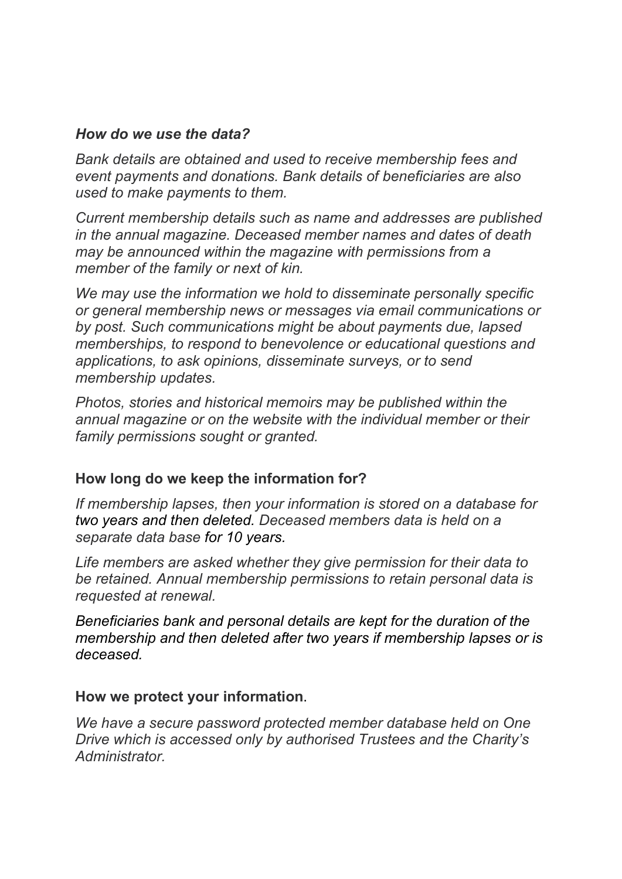### *How do we use the data?*

*Bank details are obtained and used to receive membership fees and event payments and donations. Bank details of beneficiaries are also used to make payments to them.* 

*Current membership details such as name and addresses are published in the annual magazine. Deceased member names and dates of death may be announced within the magazine with permissions from a member of the family or next of kin.*

*We may use the information we hold to disseminate personally specific or general membership news or messages via email communications or by post. Such communications might be about payments due, lapsed memberships, to respond to benevolence or educational questions and applications, to ask opinions, disseminate surveys, or to send membership updates.*

*Photos, stories and historical memoirs may be published within the annual magazine or on the website with the individual member or their family permissions sought or granted.*

# **How long do we keep the information for?**

*If membership lapses, then your information is stored on a database for two years and then deleted. Deceased members data is held on a separate data base for 10 years.* 

*Life members are asked whether they give permission for their data to be retained. Annual membership permissions to retain personal data is requested at renewal.* 

*Beneficiaries bank and personal details are kept for the duration of the membership and then deleted after two years if membership lapses or is deceased.* 

#### **How we protect your information**.

*We have a secure password protected member database held on One Drive which is accessed only by authorised Trustees and the Charity's Administrator.*